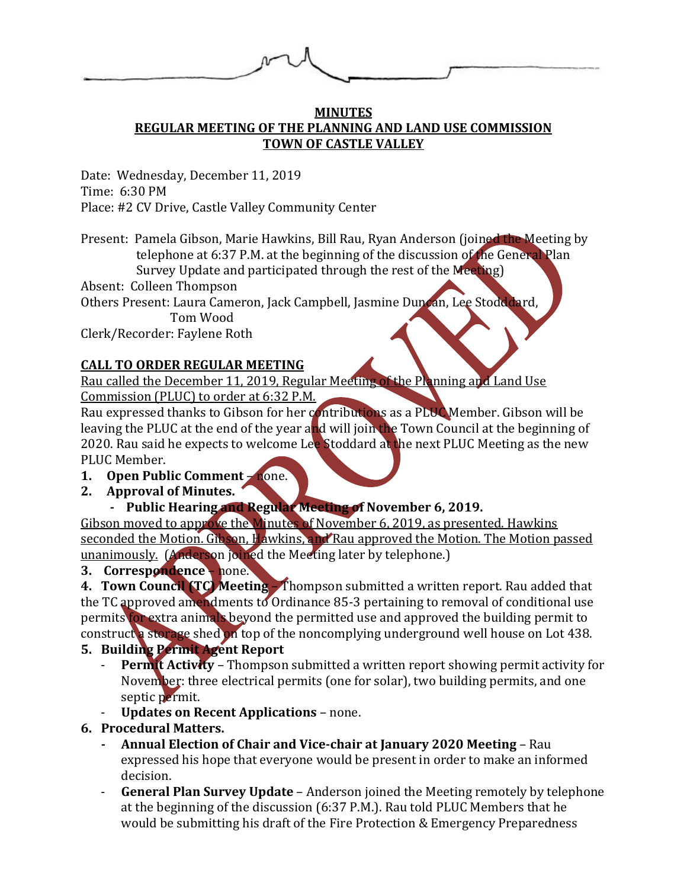#### **MINUTES REGULAR MEETING OF THE PLANNING AND LAND USE COMMISSION TOWN OF CASTLE VALLEY**

Date: Wednesday, December 11, 2019 Time: 6:30 PM Place: #2 CV Drive, Castle Valley Community Center

Present: Pamela Gibson, Marie Hawkins, Bill Rau, Ryan Anderson (joined the Meeting by telephone at 6:37 P.M. at the beginning of the discussion of the General Plan Survey Update and participated through the rest of the Meeting)

Absent: Colleen Thompson

Others Present: Laura Cameron, Jack Campbell, Jasmine Duncan, Lee Stodddard,

Tom Wood

Clerk/Recorder: Faylene Roth

## **CALL TO ORDER REGULAR MEETING**

Rau called the December 11, 2019, Regular Meeting of the Planning and Land Use

Commission (PLUC) to order at 6:32 P.M.

Rau expressed thanks to Gibson for her contributions as a PLUC Member. Gibson will be leaving the PLUC at the end of the year and will join the Town Council at the beginning of 2020. Rau said he expects to welcome Lee Stoddard at the next PLUC Meeting as the new PLUC Member.

- **1. Open Public Comment** none.
- **2. Approval of Minutes.**
	- Public Hearing and Regular Meeting of November 6, 2019.

Gibson moved to approve the Minutes of November 6, 2019, as presented. Hawkins seconded the Motion. Gibson, Hawkins, and Rau approved the Motion. The Motion passed unanimously. (Anderson joined the Meeting later by telephone.)

## **3. Correspondence** – none.

**4. Town Council (TC) Meeting** – Thompson submitted a written report. Rau added that the TC approved amendments to Ordinance 85-3 pertaining to removal of conditional use permits for extra animals beyond the permitted use and approved the building permit to construct a storage shed on top of the noncomplying underground well house on Lot 438.

# **5. Building Permit Agent Report**

- **Permit Activity** Thompson submitted a written report showing permit activity for November: three electrical permits (one for solar), two building permits, and one septic permit.
- **Updates on Recent Applications** none.

## **6. Procedural Matters.**

- **- Annual Election of Chair and Vice-chair at January 2020 Meeting**  Rau expressed his hope that everyone would be present in order to make an informed decision.
- General Plan Survey Update Anderson joined the Meeting remotely by telephone at the beginning of the discussion (6:37 P.M.). Rau told PLUC Members that he would be submitting his draft of the Fire Protection & Emergency Preparedness